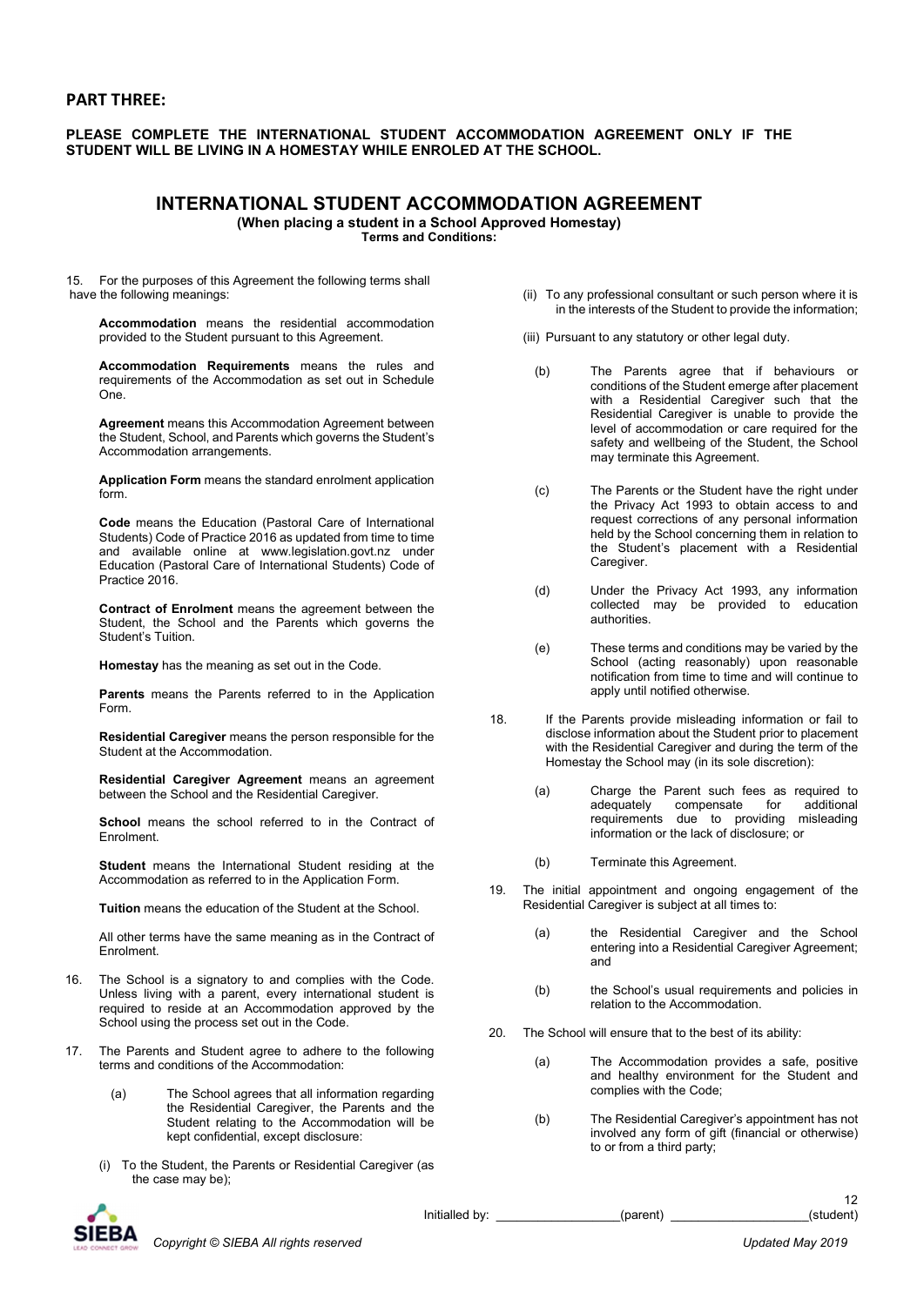## PART THREE:

## PLEASE COMPLETE THE INTERNATIONAL STUDENT ACCOMMODATION AGREEMENT ONLY IF THE STUDENT WILL BE LIVING IN A HOMESTAY WHILE ENROLED AT THE SCHOOL.

## INTERNATIONAL STUDENT ACCOMMODATION AGREEMENT

(When placing a student in a School Approved Homestay)

Terms and Conditions:

15. For the purposes of this Agreement the following terms shall have the following meanings:

Accommodation means the residential accommodation provided to the Student pursuant to this Agreement.

Accommodation Requirements means the rules and requirements of the Accommodation as set out in Schedule One.

Agreement means this Accommodation Agreement between the Student, School, and Parents which governs the Student's Accommodation arrangements.

Application Form means the standard enrolment application form.

Code means the Education (Pastoral Care of International Students) Code of Practice 2016 as updated from time to time and available online at www.legislation.govt.nz under Education (Pastoral Care of International Students) Code of Practice 2016.

Contract of Enrolment means the agreement between the Student, the School and the Parents which governs the Student's Tuition.

Homestay has the meaning as set out in the Code.

Parents means the Parents referred to in the Application Form.

Residential Caregiver means the person responsible for the Student at the Accommodation.

Residential Caregiver Agreement means an agreement between the School and the Residential Caregiver.

School means the school referred to in the Contract of Enrolment.

Student means the International Student residing at the Accommodation as referred to in the Application Form.

Tuition means the education of the Student at the School.

All other terms have the same meaning as in the Contract of Enrolment.

- 16. The School is a signatory to and complies with the Code. Unless living with a parent, every international student is required to reside at an Accommodation approved by the School using the process set out in the Code.
- 17. The Parents and Student agree to adhere to the following terms and conditions of the Accommodation:
	- (a) The School agrees that all information regarding the Residential Caregiver, the Parents and the Student relating to the Accommodation will be kept confidential, except disclosure:
	- (i) To the Student, the Parents or Residential Caregiver (as the case may be);
- (ii) To any professional consultant or such person where it is in the interests of the Student to provide the information;
- (iii) Pursuant to any statutory or other legal duty.
	- (b) The Parents agree that if behaviours or conditions of the Student emerge after placement with a Residential Caregiver such that the Residential Caregiver is unable to provide the level of accommodation or care required for the safety and wellbeing of the Student, the School may terminate this Agreement.
	- (c) The Parents or the Student have the right under the Privacy Act 1993 to obtain access to and request corrections of any personal information held by the School concerning them in relation to the Student's placement with a Residential Caregiver.
	- (d) Under the Privacy Act 1993, any information collected may be provided to education authorities.
- (e) These terms and conditions may be varied by the School (acting reasonably) upon reasonable notification from time to time and will continue to apply until notified otherwise.
- 18. If the Parents provide misleading information or fail to disclose information about the Student prior to placement with the Residential Caregiver and during the term of the Homestay the School may (in its sole discretion):
	- (a) Charge the Parent such fees as required to adequately compensate for additional requirements due to providing misleading information or the lack of disclosure; or
	- (b) Terminate this Agreement.
- 19. The initial appointment and ongoing engagement of the Residential Caregiver is subject at all times to:
	- (a) the Residential Caregiver and the School entering into a Residential Caregiver Agreement; and
	- (b) the School's usual requirements and policies in relation to the Accommodation.
- 20. The School will ensure that to the best of its ability:
	- (a) The Accommodation provides a safe, positive and healthy environment for the Student and complies with the Code;
	- (b) The Residential Caregiver's appointment has not involved any form of gift (financial or otherwise) to or from a third party;

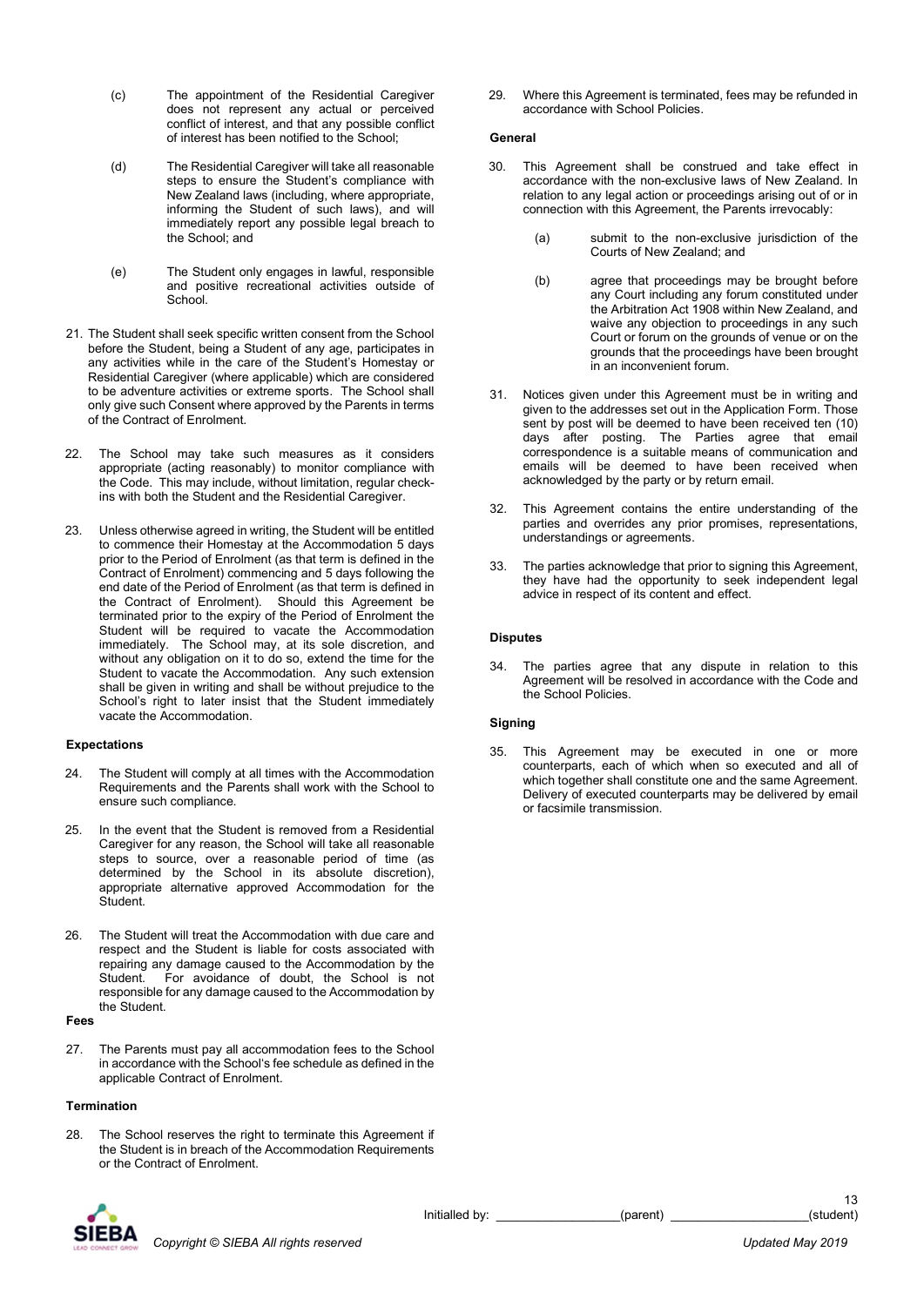- (c) The appointment of the Residential Caregiver does not represent any actual or perceived conflict of interest, and that any possible conflict of interest has been notified to the School;
- (d) The Residential Caregiver will take all reasonable steps to ensure the Student's compliance with New Zealand laws (including, where appropriate, informing the Student of such laws), and will immediately report any possible legal breach to the School; and
- (e) The Student only engages in lawful, responsible and positive recreational activities outside of School.
- 21. The Student shall seek specific written consent from the School before the Student, being a Student of any age, participates in any activities while in the care of the Student's Homestay or Residential Caregiver (where applicable) which are considered to be adventure activities or extreme sports. The School shall only give such Consent where approved by the Parents in terms of the Contract of Enrolment.
- 22. The School may take such measures as it considers appropriate (acting reasonably) to monitor compliance with the Code. This may include, without limitation, regular checkins with both the Student and the Residential Caregiver.
- 23. Unless otherwise agreed in writing, the Student will be entitled to commence their Homestay at the Accommodation 5 days prior to the Period of Enrolment (as that term is defined in the Contract of Enrolment) commencing and 5 days following the end date of the Period of Enrolment (as that term is defined in the Contract of Enrolment). Should this Agreement be terminated prior to the expiry of the Period of Enrolment the Student will be required to vacate the Accommodation immediately. The School may, at its sole discretion, and without any obligation on it to do so, extend the time for the Student to vacate the Accommodation. Any such extension shall be given in writing and shall be without prejudice to the School's right to later insist that the Student immediately vacate the Accommodation.

### **Expectations**

- 24. The Student will comply at all times with the Accommodation Requirements and the Parents shall work with the School to ensure such compliance.
- 25. In the event that the Student is removed from a Residential Caregiver for any reason, the School will take all reasonable steps to source, over a reasonable period of time (as determined by the School in its absolute discretion), appropriate alternative approved Accommodation for the **Student**
- 26. The Student will treat the Accommodation with due care and respect and the Student is liable for costs associated with repairing any damage caused to the Accommodation by the Student. For avoidance of doubt, the School is not responsible for any damage caused to the Accommodation by the Student.

#### Fees

27. The Parents must pay all accommodation fees to the School in accordance with the School's fee schedule as defined in the applicable Contract of Enrolment.

#### Termination

28. The School reserves the right to terminate this Agreement if the Student is in breach of the Accommodation Requirements or the Contract of Enrolment.

29. Where this Agreement is terminated, fees may be refunded in accordance with School Policies.

#### General

- 30. This Agreement shall be construed and take effect in accordance with the non-exclusive laws of New Zealand. In relation to any legal action or proceedings arising out of or in connection with this Agreement, the Parents irrevocably:
	- (a) submit to the non-exclusive jurisdiction of the Courts of New Zealand; and
	- (b) agree that proceedings may be brought before any Court including any forum constituted under the Arbitration Act 1908 within New Zealand, and waive any objection to proceedings in any such Court or forum on the grounds of venue or on the grounds that the proceedings have been brought in an inconvenient forum.
- 31. Notices given under this Agreement must be in writing and given to the addresses set out in the Application Form. Those sent by post will be deemed to have been received ten (10) days after posting. The Parties agree that email correspondence is a suitable means of communication and emails will be deemed to have been received when acknowledged by the party or by return email.
- 32. This Agreement contains the entire understanding of the parties and overrides any prior promises, representations, understandings or agreements.
- 33. The parties acknowledge that prior to signing this Agreement, they have had the opportunity to seek independent legal advice in respect of its content and effect.

#### **Disputes**

34. The parties agree that any dispute in relation to this Agreement will be resolved in accordance with the Code and the School Policies.

## Signing

35. This Agreement may be executed in one or more counterparts, each of which when so executed and all of which together shall constitute one and the same Agreement. Delivery of executed counterparts may be delivered by email or facsimile transmission.



Initialled by: example the set of the parent)